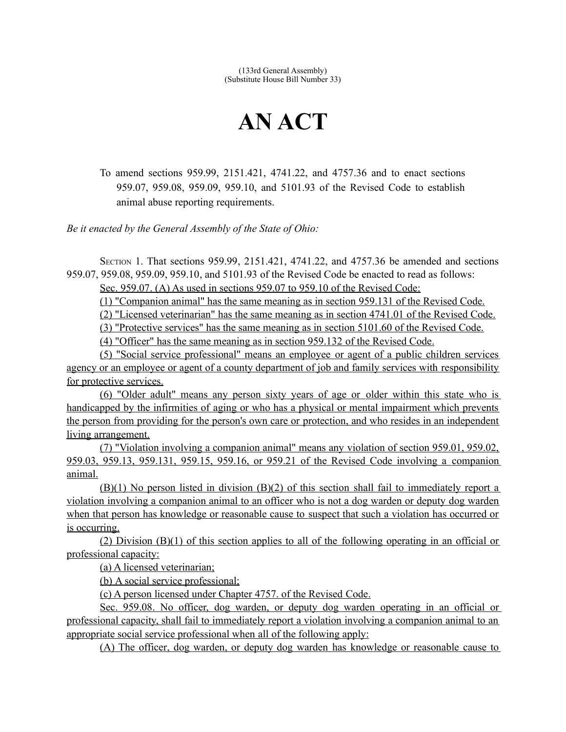(133rd General Assembly) (Substitute House Bill Number 33)

## **AN ACT**

To amend sections 959.99, 2151.421, 4741.22, and 4757.36 and to enact sections 959.07, 959.08, 959.09, 959.10, and 5101.93 of the Revised Code to establish animal abuse reporting requirements.

*Be it enacted by the General Assembly of the State of Ohio:*

SECTION 1. That sections 959.99, 2151.421, 4741.22, and 4757.36 be amended and sections 959.07, 959.08, 959.09, 959.10, and 5101.93 of the Revised Code be enacted to read as follows:

Sec. 959.07. (A) As used in sections 959.07 to 959.10 of the Revised Code:

(1) "Companion animal" has the same meaning as in section 959.131 of the Revised Code.

(2) "Licensed veterinarian" has the same meaning as in section 4741.01 of the Revised Code.

(3) "Protective services" has the same meaning as in section 5101.60 of the Revised Code.

(4) "Officer" has the same meaning as in section 959.132 of the Revised Code.

 (5) "Social service professional" means an employee or agent of a public children services agency or an employee or agent of a county department of job and family services with responsibility for protective services.

 (6) "Older adult" means any person sixty years of age or older within this state who is handicapped by the infirmities of aging or who has a physical or mental impairment which prevents the person from providing for the person's own care or protection, and who resides in an independent living arrangement.

 (7) "Violation involving a companion animal" means any violation of section 959.01, 959.02, 959.03, 959.13, 959.131, 959.15, 959.16, or 959.21 of the Revised Code involving a companion animal.

 (B)(1) No person listed in division (B)(2) of this section shall fail to immediately report a violation involving a companion animal to an officer who is not a dog warden or deputy dog warden when that person has knowledge or reasonable cause to suspect that such a violation has occurred or is occurring.

 (2) Division (B)(1) of this section applies to all of the following operating in an official or professional capacity:

(a) A licensed veterinarian;

(b) A social service professional;

(c) A person licensed under Chapter 4757. of the Revised Code.

 Sec. 959.08. No officer, dog warden, or deputy dog warden operating in an official or professional capacity, shall fail to immediately report a violation involving a companion animal to an appropriate social service professional when all of the following apply:

(A) The officer, dog warden, or deputy dog warden has knowledge or reasonable cause to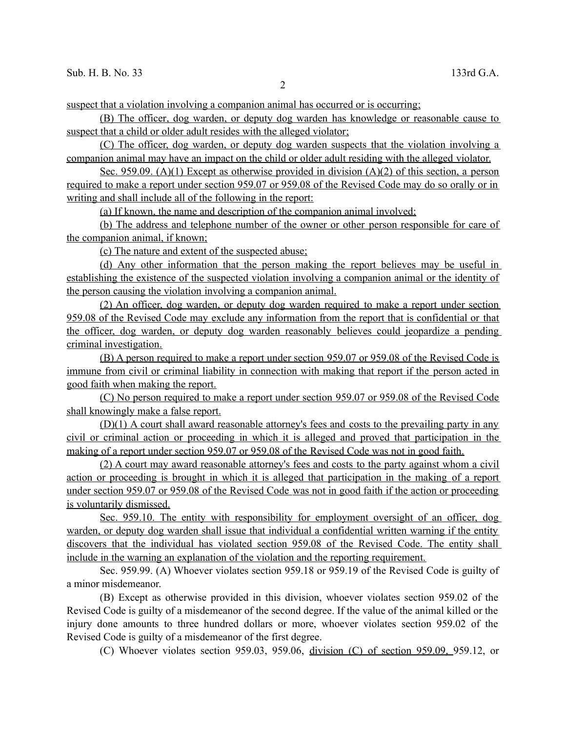suspect that a violation involving a companion animal has occurred or is occurring;

 (B) The officer , dog warden, or deputy dog warden has knowledge or reasonable cause to suspect that a child or older adult resides with the alleged violator;

 (C) The officer, dog warden, or deputy dog warden suspects that the violation involving a companion animal may have an impact on the child or older adult residing with the alleged violator.

Sec. 959.09. (A)(1) Except as otherwise provided in division (A)(2) of this section, a person required to make a report under section 959.07 or 959.08 of the Revised Code may do so orally or in writing and shall include all of the following in the report:

(a) If known, the name and description of the companion animal involved;

 (b) The address and telephone number of the owner or other person responsible for care of the companion animal, if known;

(c) The nature and extent of the suspected abuse;

 (d) Any other information that the person making the report believes may be useful in establishing the existence of the suspected violation involving a companion animal or the identity of the person causing the violation involving a companion animal.

 (2) An officer, dog warden, or deputy dog warden required to make a report under section 959.08 of the Revised Code may exclude any information from the report that is confidential or that the officer, dog warden, or deputy dog warden reasonably believes could jeopardize a pending criminal investigation.

 (B) A person required to make a report under section 959.07 or 959.08 of the Revised Code is immune from civil or criminal liability in connection with making that report if the person acted in good faith when making the report.

 (C) No person required to make a report under section 959.07 or 959.08 of the Revised Code shall knowingly make a false report.

 $(D)(1)$  A court shall award reasonable attorney's fees and costs to the prevailing party in any civil or criminal action or proceeding in which it is alleged and proved that participation in the making of a report under section 959.07 or 959.08 of the Revised Code was not in good faith.

 (2) A court may award reasonable attorney's fees and costs to the party against whom a civil action or proceeding is brought in which it is alleged that participation in the making of a report under section 959.07 or 959.08 of the Revised Code was not in good faith if the action or proceeding is voluntarily dismissed.

 Sec. 959.10. The entity with responsibility for employment oversight of an officer, dog warden, or deputy dog warden shall issue that individual a confidential written warning if the entity discovers that the individual has violated section 959.08 of the Revised Code. The entity shall include in the warning an explanation of the violation and the reporting requirement.

Sec. 959.99. (A) Whoever violates section 959.18 or 959.19 of the Revised Code is guilty of a minor misdemeanor.

(B) Except as otherwise provided in this division, whoever violates section 959.02 of the Revised Code is guilty of a misdemeanor of the second degree. If the value of the animal killed or the injury done amounts to three hundred dollars or more, whoever violates section 959.02 of the Revised Code is guilty of a misdemeanor of the first degree.

(C) Whoever violates section 959.03, 959.06, division (C) of section 959.09, 959.12, or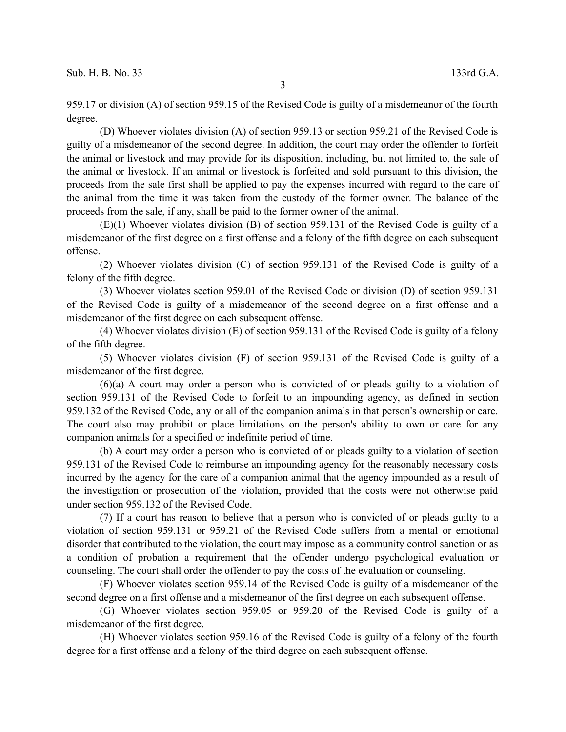3

959.17 or division (A) of section 959.15 of the Revised Code is guilty of a misdemeanor of the fourth degree.

(D) Whoever violates division (A) of section 959.13 or section 959.21 of the Revised Code is guilty of a misdemeanor of the second degree. In addition, the court may order the offender to forfeit the animal or livestock and may provide for its disposition, including, but not limited to, the sale of the animal or livestock. If an animal or livestock is forfeited and sold pursuant to this division, the proceeds from the sale first shall be applied to pay the expenses incurred with regard to the care of the animal from the time it was taken from the custody of the former owner. The balance of the proceeds from the sale, if any, shall be paid to the former owner of the animal.

(E)(1) Whoever violates division (B) of section 959.131 of the Revised Code is guilty of a misdemeanor of the first degree on a first offense and a felony of the fifth degree on each subsequent offense.

(2) Whoever violates division (C) of section 959.131 of the Revised Code is guilty of a felony of the fifth degree.

(3) Whoever violates section 959.01 of the Revised Code or division (D) of section 959.131 of the Revised Code is guilty of a misdemeanor of the second degree on a first offense and a misdemeanor of the first degree on each subsequent offense.

(4) Whoever violates division (E) of section 959.131 of the Revised Code is guilty of a felony of the fifth degree.

(5) Whoever violates division (F) of section 959.131 of the Revised Code is guilty of a misdemeanor of the first degree.

(6)(a) A court may order a person who is convicted of or pleads guilty to a violation of section 959.131 of the Revised Code to forfeit to an impounding agency, as defined in section 959.132 of the Revised Code, any or all of the companion animals in that person's ownership or care. The court also may prohibit or place limitations on the person's ability to own or care for any companion animals for a specified or indefinite period of time.

(b) A court may order a person who is convicted of or pleads guilty to a violation of section 959.131 of the Revised Code to reimburse an impounding agency for the reasonably necessary costs incurred by the agency for the care of a companion animal that the agency impounded as a result of the investigation or prosecution of the violation, provided that the costs were not otherwise paid under section 959.132 of the Revised Code.

(7) If a court has reason to believe that a person who is convicted of or pleads guilty to a violation of section 959.131 or 959.21 of the Revised Code suffers from a mental or emotional disorder that contributed to the violation, the court may impose as a community control sanction or as a condition of probation a requirement that the offender undergo psychological evaluation or counseling. The court shall order the offender to pay the costs of the evaluation or counseling.

(F) Whoever violates section 959.14 of the Revised Code is guilty of a misdemeanor of the second degree on a first offense and a misdemeanor of the first degree on each subsequent offense.

(G) Whoever violates section 959.05 or 959.20 of the Revised Code is guilty of a misdemeanor of the first degree.

(H) Whoever violates section 959.16 of the Revised Code is guilty of a felony of the fourth degree for a first offense and a felony of the third degree on each subsequent offense.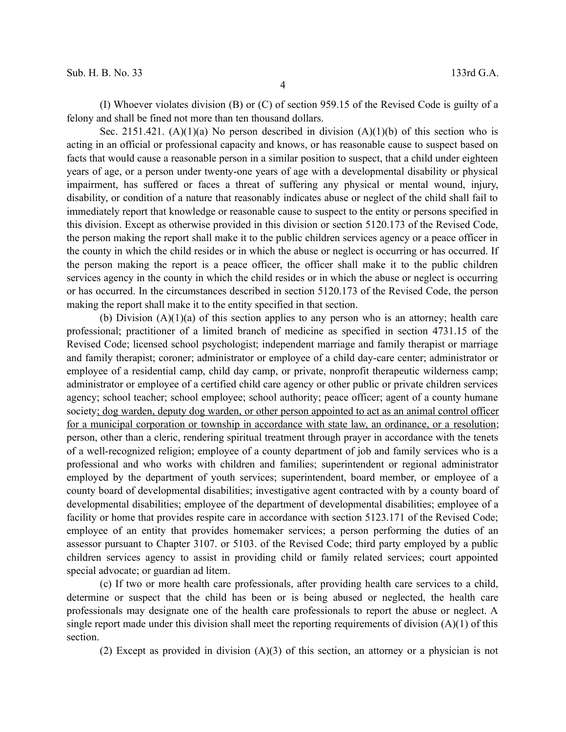(I) Whoever violates division (B) or (C) of section 959.15 of the Revised Code is guilty of a felony and shall be fined not more than ten thousand dollars.

Sec. 2151.421. (A)(1)(a) No person described in division (A)(1)(b) of this section who is acting in an official or professional capacity and knows, or has reasonable cause to suspect based on facts that would cause a reasonable person in a similar position to suspect, that a child under eighteen years of age, or a person under twenty-one years of age with a developmental disability or physical impairment, has suffered or faces a threat of suffering any physical or mental wound, injury, disability, or condition of a nature that reasonably indicates abuse or neglect of the child shall fail to immediately report that knowledge or reasonable cause to suspect to the entity or persons specified in this division. Except as otherwise provided in this division or section 5120.173 of the Revised Code, the person making the report shall make it to the public children services agency or a peace officer in the county in which the child resides or in which the abuse or neglect is occurring or has occurred. If the person making the report is a peace officer, the officer shall make it to the public children services agency in the county in which the child resides or in which the abuse or neglect is occurring or has occurred. In the circumstances described in section 5120.173 of the Revised Code, the person making the report shall make it to the entity specified in that section.

(b) Division  $(A)(1)(a)$  of this section applies to any person who is an attorney; health care professional; practitioner of a limited branch of medicine as specified in section 4731.15 of the Revised Code; licensed school psychologist; independent marriage and family therapist or marriage and family therapist; coroner; administrator or employee of a child day-care center; administrator or employee of a residential camp, child day camp, or private, nonprofit therapeutic wilderness camp; administrator or employee of a certified child care agency or other public or private children services agency; school teacher; school employee; school authority; peace officer; agent of a county humane society ; dog warden, deputy dog warden, or other person appointed to act as an animal control officer for a municipal corporation or township in accordance with state law, an ordinance, or a resolution; person, other than a cleric, rendering spiritual treatment through prayer in accordance with the tenets of a well-recognized religion; employee of a county department of job and family services who is a professional and who works with children and families; superintendent or regional administrator employed by the department of youth services; superintendent, board member, or employee of a county board of developmental disabilities; investigative agent contracted with by a county board of developmental disabilities; employee of the department of developmental disabilities; employee of a facility or home that provides respite care in accordance with section 5123.171 of the Revised Code; employee of an entity that provides homemaker services; a person performing the duties of an assessor pursuant to Chapter 3107. or 5103. of the Revised Code; third party employed by a public children services agency to assist in providing child or family related services; court appointed special advocate; or guardian ad litem.

(c) If two or more health care professionals, after providing health care services to a child, determine or suspect that the child has been or is being abused or neglected, the health care professionals may designate one of the health care professionals to report the abuse or neglect. A single report made under this division shall meet the reporting requirements of division (A)(1) of this section.

(2) Except as provided in division (A)(3) of this section, an attorney or a physician is not

4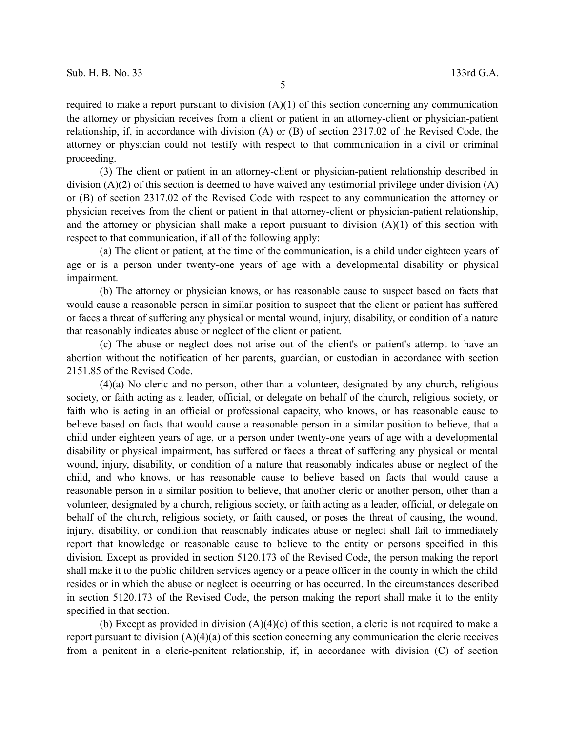required to make a report pursuant to division (A)(1) of this section concerning any communication the attorney or physician receives from a client or patient in an attorney-client or physician-patient relationship, if, in accordance with division (A) or (B) of section 2317.02 of the Revised Code, the attorney or physician could not testify with respect to that communication in a civil or criminal proceeding.

(3) The client or patient in an attorney-client or physician-patient relationship described in division  $(A)(2)$  of this section is deemed to have waived any testimonial privilege under division  $(A)$ or (B) of section 2317.02 of the Revised Code with respect to any communication the attorney or physician receives from the client or patient in that attorney-client or physician-patient relationship, and the attorney or physician shall make a report pursuant to division (A)(1) of this section with respect to that communication, if all of the following apply:

(a) The client or patient, at the time of the communication, is a child under eighteen years of age or is a person under twenty-one years of age with a developmental disability or physical impairment.

(b) The attorney or physician knows, or has reasonable cause to suspect based on facts that would cause a reasonable person in similar position to suspect that the client or patient has suffered or faces a threat of suffering any physical or mental wound, injury, disability, or condition of a nature that reasonably indicates abuse or neglect of the client or patient.

(c) The abuse or neglect does not arise out of the client's or patient's attempt to have an abortion without the notification of her parents, guardian, or custodian in accordance with section 2151.85 of the Revised Code.

(4)(a) No cleric and no person, other than a volunteer, designated by any church, religious society, or faith acting as a leader, official, or delegate on behalf of the church, religious society, or faith who is acting in an official or professional capacity, who knows, or has reasonable cause to believe based on facts that would cause a reasonable person in a similar position to believe, that a child under eighteen years of age, or a person under twenty-one years of age with a developmental disability or physical impairment, has suffered or faces a threat of suffering any physical or mental wound, injury, disability, or condition of a nature that reasonably indicates abuse or neglect of the child, and who knows, or has reasonable cause to believe based on facts that would cause a reasonable person in a similar position to believe, that another cleric or another person, other than a volunteer, designated by a church, religious society, or faith acting as a leader, official, or delegate on behalf of the church, religious society, or faith caused, or poses the threat of causing, the wound, injury, disability, or condition that reasonably indicates abuse or neglect shall fail to immediately report that knowledge or reasonable cause to believe to the entity or persons specified in this division. Except as provided in section 5120.173 of the Revised Code, the person making the report shall make it to the public children services agency or a peace officer in the county in which the child resides or in which the abuse or neglect is occurring or has occurred. In the circumstances described in section 5120.173 of the Revised Code, the person making the report shall make it to the entity specified in that section.

(b) Except as provided in division (A)(4)(c) of this section, a cleric is not required to make a report pursuant to division (A)(4)(a) of this section concerning any communication the cleric receives from a penitent in a cleric-penitent relationship, if, in accordance with division (C) of section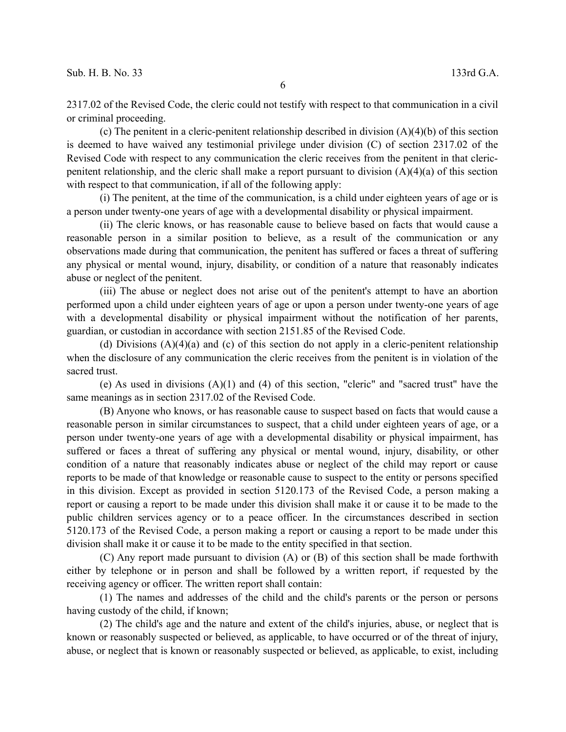2317.02 of the Revised Code, the cleric could not testify with respect to that communication in a civil or criminal proceeding.

(c) The penitent in a cleric-penitent relationship described in division  $(A)(4)(b)$  of this section is deemed to have waived any testimonial privilege under division (C) of section 2317.02 of the Revised Code with respect to any communication the cleric receives from the penitent in that clericpenitent relationship, and the cleric shall make a report pursuant to division (A)(4)(a) of this section with respect to that communication, if all of the following apply:

(i) The penitent, at the time of the communication, is a child under eighteen years of age or is a person under twenty-one years of age with a developmental disability or physical impairment.

(ii) The cleric knows, or has reasonable cause to believe based on facts that would cause a reasonable person in a similar position to believe, as a result of the communication or any observations made during that communication, the penitent has suffered or faces a threat of suffering any physical or mental wound, injury, disability, or condition of a nature that reasonably indicates abuse or neglect of the penitent.

(iii) The abuse or neglect does not arise out of the penitent's attempt to have an abortion performed upon a child under eighteen years of age or upon a person under twenty-one years of age with a developmental disability or physical impairment without the notification of her parents, guardian, or custodian in accordance with section 2151.85 of the Revised Code.

(d) Divisions (A)(4)(a) and (c) of this section do not apply in a cleric-penitent relationship when the disclosure of any communication the cleric receives from the penitent is in violation of the sacred trust.

(e) As used in divisions (A)(1) and (4) of this section, "cleric" and "sacred trust" have the same meanings as in section 2317.02 of the Revised Code.

(B) Anyone who knows, or has reasonable cause to suspect based on facts that would cause a reasonable person in similar circumstances to suspect, that a child under eighteen years of age, or a person under twenty-one years of age with a developmental disability or physical impairment, has suffered or faces a threat of suffering any physical or mental wound, injury, disability, or other condition of a nature that reasonably indicates abuse or neglect of the child may report or cause reports to be made of that knowledge or reasonable cause to suspect to the entity or persons specified in this division. Except as provided in section 5120.173 of the Revised Code, a person making a report or causing a report to be made under this division shall make it or cause it to be made to the public children services agency or to a peace officer. In the circumstances described in section 5120.173 of the Revised Code, a person making a report or causing a report to be made under this division shall make it or cause it to be made to the entity specified in that section.

(C) Any report made pursuant to division (A) or (B) of this section shall be made forthwith either by telephone or in person and shall be followed by a written report, if requested by the receiving agency or officer. The written report shall contain:

(1) The names and addresses of the child and the child's parents or the person or persons having custody of the child, if known;

(2) The child's age and the nature and extent of the child's injuries, abuse, or neglect that is known or reasonably suspected or believed, as applicable, to have occurred or of the threat of injury, abuse, or neglect that is known or reasonably suspected or believed, as applicable, to exist, including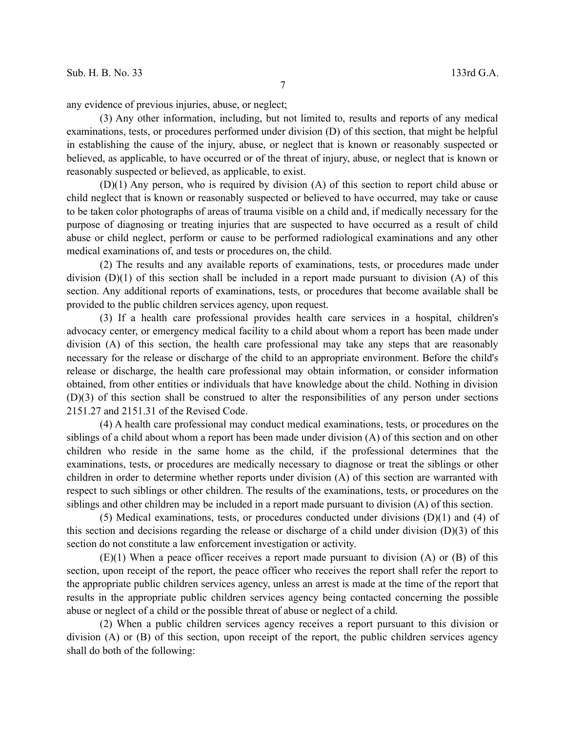any evidence of previous injuries, abuse, or neglect;

(3) Any other information, including, but not limited to, results and reports of any medical examinations, tests, or procedures performed under division (D) of this section, that might be helpful in establishing the cause of the injury, abuse, or neglect that is known or reasonably suspected or believed, as applicable, to have occurred or of the threat of injury, abuse, or neglect that is known or reasonably suspected or believed, as applicable, to exist.

(D)(1) Any person, who is required by division (A) of this section to report child abuse or child neglect that is known or reasonably suspected or believed to have occurred, may take or cause to be taken color photographs of areas of trauma visible on a child and, if medically necessary for the purpose of diagnosing or treating injuries that are suspected to have occurred as a result of child abuse or child neglect, perform or cause to be performed radiological examinations and any other medical examinations of, and tests or procedures on, the child.

(2) The results and any available reports of examinations, tests, or procedures made under division  $(D)(1)$  of this section shall be included in a report made pursuant to division  $(A)$  of this section. Any additional reports of examinations, tests, or procedures that become available shall be provided to the public children services agency, upon request.

(3) If a health care professional provides health care services in a hospital, children's advocacy center, or emergency medical facility to a child about whom a report has been made under division (A) of this section, the health care professional may take any steps that are reasonably necessary for the release or discharge of the child to an appropriate environment. Before the child's release or discharge, the health care professional may obtain information, or consider information obtained, from other entities or individuals that have knowledge about the child. Nothing in division (D)(3) of this section shall be construed to alter the responsibilities of any person under sections 2151.27 and 2151.31 of the Revised Code.

(4) A health care professional may conduct medical examinations, tests, or procedures on the siblings of a child about whom a report has been made under division (A) of this section and on other children who reside in the same home as the child, if the professional determines that the examinations, tests, or procedures are medically necessary to diagnose or treat the siblings or other children in order to determine whether reports under division (A) of this section are warranted with respect to such siblings or other children. The results of the examinations, tests, or procedures on the siblings and other children may be included in a report made pursuant to division (A) of this section.

(5) Medical examinations, tests, or procedures conducted under divisions (D)(1) and (4) of this section and decisions regarding the release or discharge of a child under division (D)(3) of this section do not constitute a law enforcement investigation or activity.

(E)(1) When a peace officer receives a report made pursuant to division (A) or (B) of this section, upon receipt of the report, the peace officer who receives the report shall refer the report to the appropriate public children services agency, unless an arrest is made at the time of the report that results in the appropriate public children services agency being contacted concerning the possible abuse or neglect of a child or the possible threat of abuse or neglect of a child.

(2) When a public children services agency receives a report pursuant to this division or division (A) or (B) of this section, upon receipt of the report, the public children services agency shall do both of the following: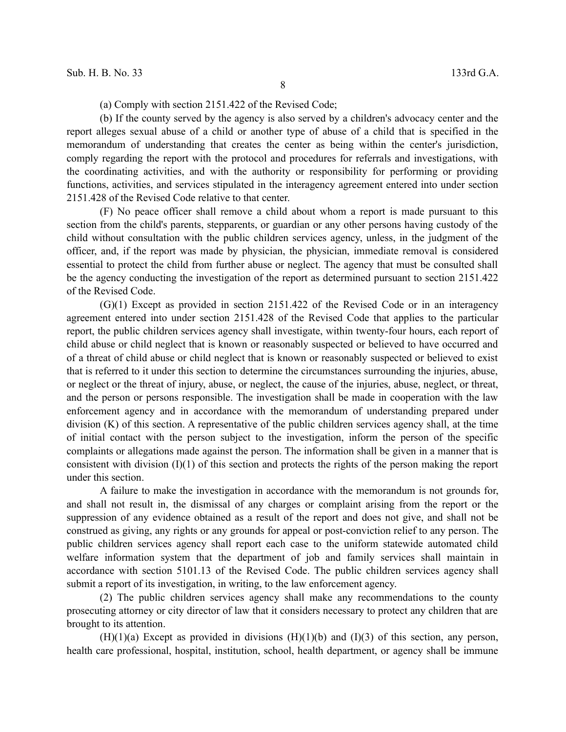(a) Comply with section 2151.422 of the Revised Code;

(b) If the county served by the agency is also served by a children's advocacy center and the report alleges sexual abuse of a child or another type of abuse of a child that is specified in the memorandum of understanding that creates the center as being within the center's jurisdiction, comply regarding the report with the protocol and procedures for referrals and investigations, with the coordinating activities, and with the authority or responsibility for performing or providing functions, activities, and services stipulated in the interagency agreement entered into under section 2151.428 of the Revised Code relative to that center.

(F) No peace officer shall remove a child about whom a report is made pursuant to this section from the child's parents, stepparents, or guardian or any other persons having custody of the child without consultation with the public children services agency, unless, in the judgment of the officer, and, if the report was made by physician, the physician, immediate removal is considered essential to protect the child from further abuse or neglect. The agency that must be consulted shall be the agency conducting the investigation of the report as determined pursuant to section 2151.422 of the Revised Code.

(G)(1) Except as provided in section 2151.422 of the Revised Code or in an interagency agreement entered into under section 2151.428 of the Revised Code that applies to the particular report, the public children services agency shall investigate, within twenty-four hours, each report of child abuse or child neglect that is known or reasonably suspected or believed to have occurred and of a threat of child abuse or child neglect that is known or reasonably suspected or believed to exist that is referred to it under this section to determine the circumstances surrounding the injuries, abuse, or neglect or the threat of injury, abuse, or neglect, the cause of the injuries, abuse, neglect, or threat, and the person or persons responsible. The investigation shall be made in cooperation with the law enforcement agency and in accordance with the memorandum of understanding prepared under division (K) of this section. A representative of the public children services agency shall, at the time of initial contact with the person subject to the investigation, inform the person of the specific complaints or allegations made against the person. The information shall be given in a manner that is consistent with division (I)(1) of this section and protects the rights of the person making the report under this section.

A failure to make the investigation in accordance with the memorandum is not grounds for, and shall not result in, the dismissal of any charges or complaint arising from the report or the suppression of any evidence obtained as a result of the report and does not give, and shall not be construed as giving, any rights or any grounds for appeal or post-conviction relief to any person. The public children services agency shall report each case to the uniform statewide automated child welfare information system that the department of job and family services shall maintain in accordance with section 5101.13 of the Revised Code. The public children services agency shall submit a report of its investigation, in writing, to the law enforcement agency.

(2) The public children services agency shall make any recommendations to the county prosecuting attorney or city director of law that it considers necessary to protect any children that are brought to its attention.

 $(H)(1)(a)$  Except as provided in divisions  $(H)(1)(b)$  and  $(I)(3)$  of this section, any person, health care professional, hospital, institution, school, health department, or agency shall be immune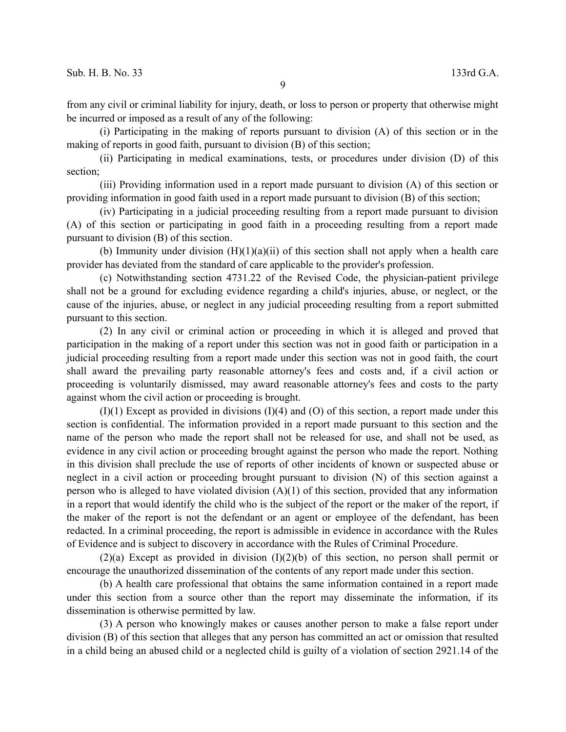9

from any civil or criminal liability for injury, death, or loss to person or property that otherwise might be incurred or imposed as a result of any of the following:

(i) Participating in the making of reports pursuant to division (A) of this section or in the making of reports in good faith, pursuant to division (B) of this section;

(ii) Participating in medical examinations, tests, or procedures under division (D) of this section;

(iii) Providing information used in a report made pursuant to division (A) of this section or providing information in good faith used in a report made pursuant to division (B) of this section;

(iv) Participating in a judicial proceeding resulting from a report made pursuant to division (A) of this section or participating in good faith in a proceeding resulting from a report made pursuant to division (B) of this section.

(b) Immunity under division  $(H)(1)(a)(ii)$  of this section shall not apply when a health care provider has deviated from the standard of care applicable to the provider's profession.

(c) Notwithstanding section 4731.22 of the Revised Code, the physician-patient privilege shall not be a ground for excluding evidence regarding a child's injuries, abuse, or neglect, or the cause of the injuries, abuse, or neglect in any judicial proceeding resulting from a report submitted pursuant to this section.

(2) In any civil or criminal action or proceeding in which it is alleged and proved that participation in the making of a report under this section was not in good faith or participation in a judicial proceeding resulting from a report made under this section was not in good faith, the court shall award the prevailing party reasonable attorney's fees and costs and, if a civil action or proceeding is voluntarily dismissed, may award reasonable attorney's fees and costs to the party against whom the civil action or proceeding is brought.

 $(I)(1)$  Except as provided in divisions  $(I)(4)$  and  $(O)$  of this section, a report made under this section is confidential. The information provided in a report made pursuant to this section and the name of the person who made the report shall not be released for use, and shall not be used, as evidence in any civil action or proceeding brought against the person who made the report. Nothing in this division shall preclude the use of reports of other incidents of known or suspected abuse or neglect in a civil action or proceeding brought pursuant to division (N) of this section against a person who is alleged to have violated division (A)(1) of this section, provided that any information in a report that would identify the child who is the subject of the report or the maker of the report, if the maker of the report is not the defendant or an agent or employee of the defendant, has been redacted. In a criminal proceeding, the report is admissible in evidence in accordance with the Rules of Evidence and is subject to discovery in accordance with the Rules of Criminal Procedure.

 $(2)(a)$  Except as provided in division  $(I)(2)(b)$  of this section, no person shall permit or encourage the unauthorized dissemination of the contents of any report made under this section.

(b) A health care professional that obtains the same information contained in a report made under this section from a source other than the report may disseminate the information, if its dissemination is otherwise permitted by law.

(3) A person who knowingly makes or causes another person to make a false report under division (B) of this section that alleges that any person has committed an act or omission that resulted in a child being an abused child or a neglected child is guilty of a violation of section 2921.14 of the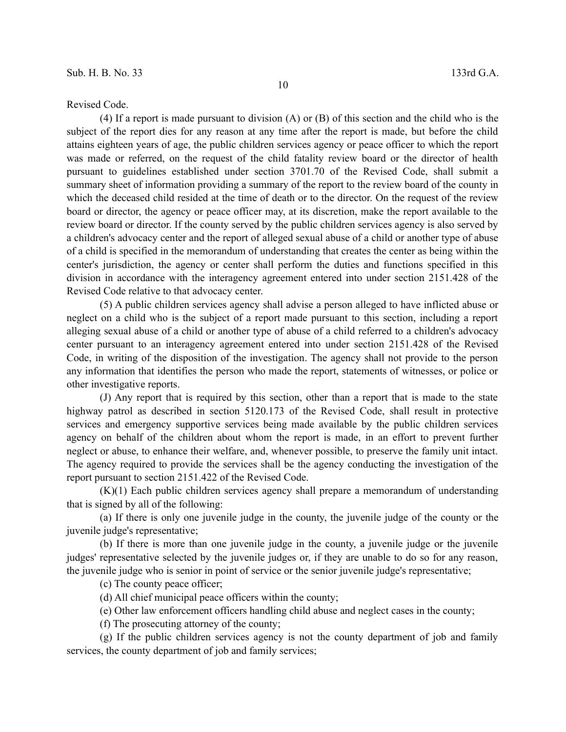Revised Code.

(4) If a report is made pursuant to division (A) or (B) of this section and the child who is the subject of the report dies for any reason at any time after the report is made, but before the child attains eighteen years of age, the public children services agency or peace officer to which the report was made or referred, on the request of the child fatality review board or the director of health pursuant to guidelines established under section 3701.70 of the Revised Code, shall submit a summary sheet of information providing a summary of the report to the review board of the county in which the deceased child resided at the time of death or to the director. On the request of the review board or director, the agency or peace officer may, at its discretion, make the report available to the review board or director. If the county served by the public children services agency is also served by a children's advocacy center and the report of alleged sexual abuse of a child or another type of abuse of a child is specified in the memorandum of understanding that creates the center as being within the center's jurisdiction, the agency or center shall perform the duties and functions specified in this division in accordance with the interagency agreement entered into under section 2151.428 of the Revised Code relative to that advocacy center.

(5) A public children services agency shall advise a person alleged to have inflicted abuse or neglect on a child who is the subject of a report made pursuant to this section, including a report alleging sexual abuse of a child or another type of abuse of a child referred to a children's advocacy center pursuant to an interagency agreement entered into under section 2151.428 of the Revised Code, in writing of the disposition of the investigation. The agency shall not provide to the person any information that identifies the person who made the report, statements of witnesses, or police or other investigative reports.

(J) Any report that is required by this section, other than a report that is made to the state highway patrol as described in section 5120.173 of the Revised Code, shall result in protective services and emergency supportive services being made available by the public children services agency on behalf of the children about whom the report is made, in an effort to prevent further neglect or abuse, to enhance their welfare, and, whenever possible, to preserve the family unit intact. The agency required to provide the services shall be the agency conducting the investigation of the report pursuant to section 2151.422 of the Revised Code.

(K)(1) Each public children services agency shall prepare a memorandum of understanding that is signed by all of the following:

(a) If there is only one juvenile judge in the county, the juvenile judge of the county or the juvenile judge's representative;

(b) If there is more than one juvenile judge in the county, a juvenile judge or the juvenile judges' representative selected by the juvenile judges or, if they are unable to do so for any reason, the juvenile judge who is senior in point of service or the senior juvenile judge's representative;

(c) The county peace officer;

(d) All chief municipal peace officers within the county;

(e) Other law enforcement officers handling child abuse and neglect cases in the county;

(f) The prosecuting attorney of the county;

(g) If the public children services agency is not the county department of job and family services, the county department of job and family services;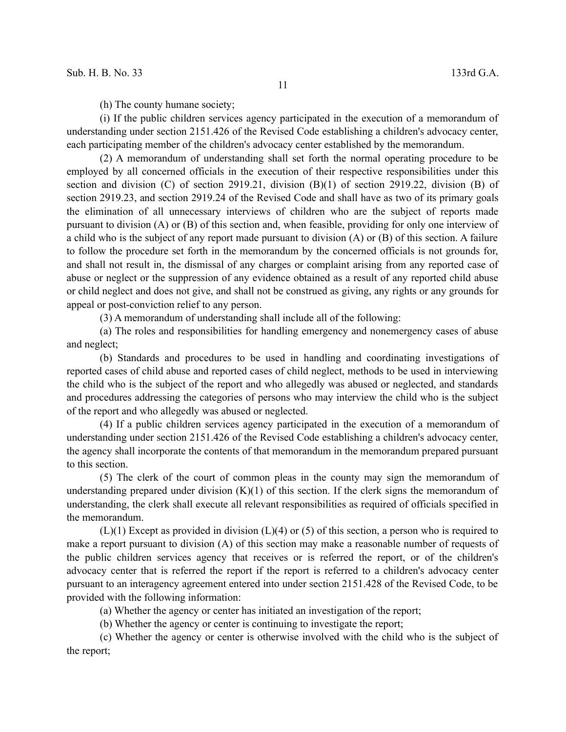(h) The county humane society;

(i) If the public children services agency participated in the execution of a memorandum of understanding under section 2151.426 of the Revised Code establishing a children's advocacy center, each participating member of the children's advocacy center established by the memorandum.

(2) A memorandum of understanding shall set forth the normal operating procedure to be employed by all concerned officials in the execution of their respective responsibilities under this section and division (C) of section 2919.21, division (B)(1) of section 2919.22, division (B) of section 2919.23, and section 2919.24 of the Revised Code and shall have as two of its primary goals the elimination of all unnecessary interviews of children who are the subject of reports made pursuant to division (A) or (B) of this section and, when feasible, providing for only one interview of a child who is the subject of any report made pursuant to division (A) or (B) of this section. A failure to follow the procedure set forth in the memorandum by the concerned officials is not grounds for, and shall not result in, the dismissal of any charges or complaint arising from any reported case of abuse or neglect or the suppression of any evidence obtained as a result of any reported child abuse or child neglect and does not give, and shall not be construed as giving, any rights or any grounds for appeal or post-conviction relief to any person.

(3) A memorandum of understanding shall include all of the following:

(a) The roles and responsibilities for handling emergency and nonemergency cases of abuse and neglect;

(b) Standards and procedures to be used in handling and coordinating investigations of reported cases of child abuse and reported cases of child neglect, methods to be used in interviewing the child who is the subject of the report and who allegedly was abused or neglected, and standards and procedures addressing the categories of persons who may interview the child who is the subject of the report and who allegedly was abused or neglected.

(4) If a public children services agency participated in the execution of a memorandum of understanding under section 2151.426 of the Revised Code establishing a children's advocacy center, the agency shall incorporate the contents of that memorandum in the memorandum prepared pursuant to this section.

(5) The clerk of the court of common pleas in the county may sign the memorandum of understanding prepared under division  $(K)(1)$  of this section. If the clerk signs the memorandum of understanding, the clerk shall execute all relevant responsibilities as required of officials specified in the memorandum.

 $(L)(1)$  Except as provided in division  $(L)(4)$  or (5) of this section, a person who is required to make a report pursuant to division (A) of this section may make a reasonable number of requests of the public children services agency that receives or is referred the report, or of the children's advocacy center that is referred the report if the report is referred to a children's advocacy center pursuant to an interagency agreement entered into under section 2151.428 of the Revised Code, to be provided with the following information:

(a) Whether the agency or center has initiated an investigation of the report;

(b) Whether the agency or center is continuing to investigate the report;

(c) Whether the agency or center is otherwise involved with the child who is the subject of the report;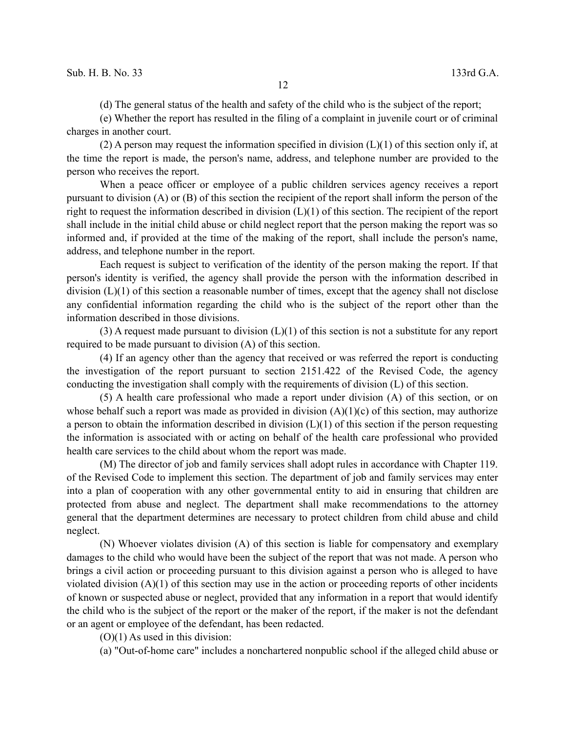(d) The general status of the health and safety of the child who is the subject of the report;

(e) Whether the report has resulted in the filing of a complaint in juvenile court or of criminal charges in another court.

(2) A person may request the information specified in division (L)(1) of this section only if, at the time the report is made, the person's name, address, and telephone number are provided to the person who receives the report.

When a peace officer or employee of a public children services agency receives a report pursuant to division (A) or (B) of this section the recipient of the report shall inform the person of the right to request the information described in division (L)(1) of this section. The recipient of the report shall include in the initial child abuse or child neglect report that the person making the report was so informed and, if provided at the time of the making of the report, shall include the person's name, address, and telephone number in the report.

Each request is subject to verification of the identity of the person making the report. If that person's identity is verified, the agency shall provide the person with the information described in division (L)(1) of this section a reasonable number of times, except that the agency shall not disclose any confidential information regarding the child who is the subject of the report other than the information described in those divisions.

(3) A request made pursuant to division (L)(1) of this section is not a substitute for any report required to be made pursuant to division (A) of this section.

(4) If an agency other than the agency that received or was referred the report is conducting the investigation of the report pursuant to section 2151.422 of the Revised Code, the agency conducting the investigation shall comply with the requirements of division (L) of this section.

(5) A health care professional who made a report under division (A) of this section, or on whose behalf such a report was made as provided in division  $(A)(1)(c)$  of this section, may authorize a person to obtain the information described in division  $(L)(1)$  of this section if the person requesting the information is associated with or acting on behalf of the health care professional who provided health care services to the child about whom the report was made.

(M) The director of job and family services shall adopt rules in accordance with Chapter 119. of the Revised Code to implement this section. The department of job and family services may enter into a plan of cooperation with any other governmental entity to aid in ensuring that children are protected from abuse and neglect. The department shall make recommendations to the attorney general that the department determines are necessary to protect children from child abuse and child neglect.

(N) Whoever violates division (A) of this section is liable for compensatory and exemplary damages to the child who would have been the subject of the report that was not made. A person who brings a civil action or proceeding pursuant to this division against a person who is alleged to have violated division (A)(1) of this section may use in the action or proceeding reports of other incidents of known or suspected abuse or neglect, provided that any information in a report that would identify the child who is the subject of the report or the maker of the report, if the maker is not the defendant or an agent or employee of the defendant, has been redacted.

(O)(1) As used in this division:

(a) "Out-of-home care" includes a nonchartered nonpublic school if the alleged child abuse or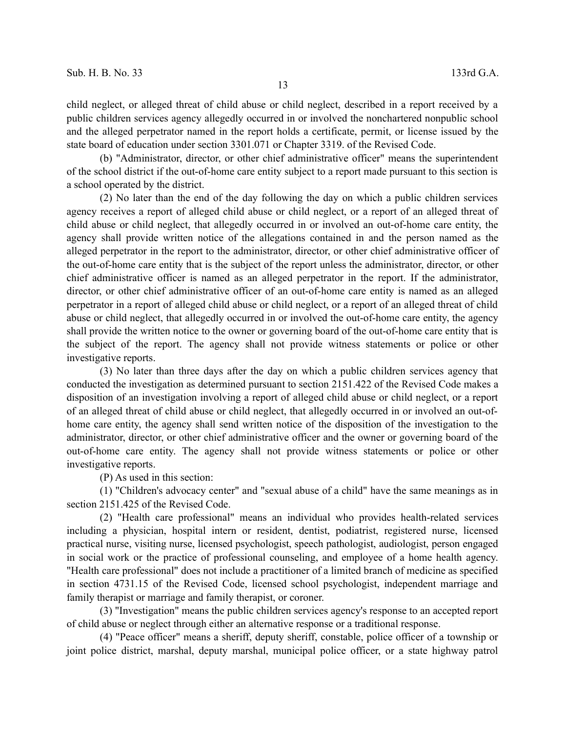child neglect, or alleged threat of child abuse or child neglect, described in a report received by a public children services agency allegedly occurred in or involved the nonchartered nonpublic school and the alleged perpetrator named in the report holds a certificate, permit, or license issued by the state board of education under section 3301.071 or Chapter 3319. of the Revised Code.

(b) "Administrator, director, or other chief administrative officer" means the superintendent of the school district if the out-of-home care entity subject to a report made pursuant to this section is a school operated by the district.

(2) No later than the end of the day following the day on which a public children services agency receives a report of alleged child abuse or child neglect, or a report of an alleged threat of child abuse or child neglect, that allegedly occurred in or involved an out-of-home care entity, the agency shall provide written notice of the allegations contained in and the person named as the alleged perpetrator in the report to the administrator, director, or other chief administrative officer of the out-of-home care entity that is the subject of the report unless the administrator, director, or other chief administrative officer is named as an alleged perpetrator in the report. If the administrator, director, or other chief administrative officer of an out-of-home care entity is named as an alleged perpetrator in a report of alleged child abuse or child neglect, or a report of an alleged threat of child abuse or child neglect, that allegedly occurred in or involved the out-of-home care entity, the agency shall provide the written notice to the owner or governing board of the out-of-home care entity that is the subject of the report. The agency shall not provide witness statements or police or other investigative reports.

(3) No later than three days after the day on which a public children services agency that conducted the investigation as determined pursuant to section 2151.422 of the Revised Code makes a disposition of an investigation involving a report of alleged child abuse or child neglect, or a report of an alleged threat of child abuse or child neglect, that allegedly occurred in or involved an out-ofhome care entity, the agency shall send written notice of the disposition of the investigation to the administrator, director, or other chief administrative officer and the owner or governing board of the out-of-home care entity. The agency shall not provide witness statements or police or other investigative reports.

(P) As used in this section:

(1) "Children's advocacy center" and "sexual abuse of a child" have the same meanings as in section 2151.425 of the Revised Code.

(2) "Health care professional" means an individual who provides health-related services including a physician, hospital intern or resident, dentist, podiatrist, registered nurse, licensed practical nurse, visiting nurse, licensed psychologist, speech pathologist, audiologist, person engaged in social work or the practice of professional counseling, and employee of a home health agency. "Health care professional" does not include a practitioner of a limited branch of medicine as specified in section 4731.15 of the Revised Code, licensed school psychologist, independent marriage and family therapist or marriage and family therapist, or coroner.

(3) "Investigation" means the public children services agency's response to an accepted report of child abuse or neglect through either an alternative response or a traditional response.

(4) "Peace officer" means a sheriff, deputy sheriff, constable, police officer of a township or joint police district, marshal, deputy marshal, municipal police officer, or a state highway patrol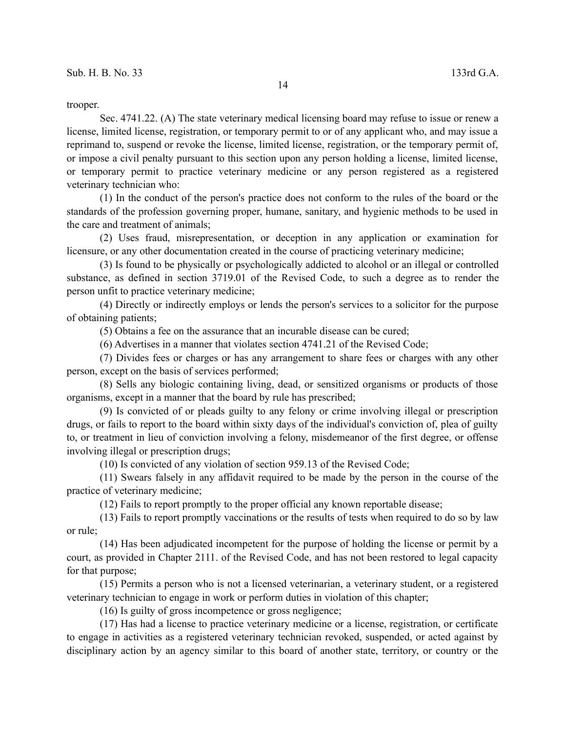## trooper.

Sec. 4741.22. (A) The state veterinary medical licensing board may refuse to issue or renew a license, limited license, registration, or temporary permit to or of any applicant who, and may issue a reprimand to, suspend or revoke the license, limited license, registration, or the temporary permit of, or impose a civil penalty pursuant to this section upon any person holding a license, limited license, or temporary permit to practice veterinary medicine or any person registered as a registered veterinary technician who:

(1) In the conduct of the person's practice does not conform to the rules of the board or the standards of the profession governing proper, humane, sanitary, and hygienic methods to be used in the care and treatment of animals;

(2) Uses fraud, misrepresentation, or deception in any application or examination for licensure, or any other documentation created in the course of practicing veterinary medicine;

(3) Is found to be physically or psychologically addicted to alcohol or an illegal or controlled substance, as defined in section 3719.01 of the Revised Code, to such a degree as to render the person unfit to practice veterinary medicine;

(4) Directly or indirectly employs or lends the person's services to a solicitor for the purpose of obtaining patients;

(5) Obtains a fee on the assurance that an incurable disease can be cured;

(6) Advertises in a manner that violates section 4741.21 of the Revised Code;

(7) Divides fees or charges or has any arrangement to share fees or charges with any other person, except on the basis of services performed;

(8) Sells any biologic containing living, dead, or sensitized organisms or products of those organisms, except in a manner that the board by rule has prescribed;

(9) Is convicted of or pleads guilty to any felony or crime involving illegal or prescription drugs, or fails to report to the board within sixty days of the individual's conviction of, plea of guilty to, or treatment in lieu of conviction involving a felony, misdemeanor of the first degree, or offense involving illegal or prescription drugs;

(10) Is convicted of any violation of section 959.13 of the Revised Code;

(11) Swears falsely in any affidavit required to be made by the person in the course of the practice of veterinary medicine;

(12) Fails to report promptly to the proper official any known reportable disease;

(13) Fails to report promptly vaccinations or the results of tests when required to do so by law or rule;

(14) Has been adjudicated incompetent for the purpose of holding the license or permit by a court, as provided in Chapter 2111. of the Revised Code, and has not been restored to legal capacity for that purpose;

(15) Permits a person who is not a licensed veterinarian, a veterinary student, or a registered veterinary technician to engage in work or perform duties in violation of this chapter;

(16) Is guilty of gross incompetence or gross negligence;

(17) Has had a license to practice veterinary medicine or a license, registration, or certificate to engage in activities as a registered veterinary technician revoked, suspended, or acted against by disciplinary action by an agency similar to this board of another state, territory, or country or the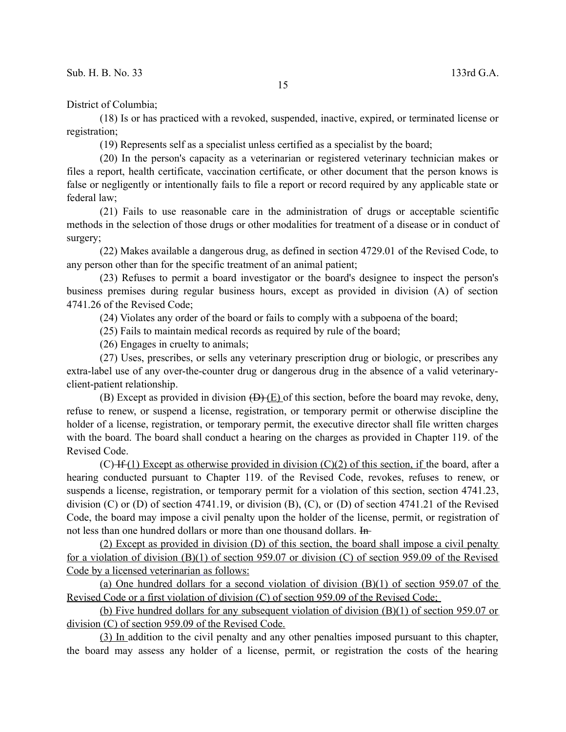District of Columbia;

(18) Is or has practiced with a revoked, suspended, inactive, expired, or terminated license or registration;

(19) Represents self as a specialist unless certified as a specialist by the board;

(20) In the person's capacity as a veterinarian or registered veterinary technician makes or files a report, health certificate, vaccination certificate, or other document that the person knows is false or negligently or intentionally fails to file a report or record required by any applicable state or federal law;

(21) Fails to use reasonable care in the administration of drugs or acceptable scientific methods in the selection of those drugs or other modalities for treatment of a disease or in conduct of surgery;

(22) Makes available a dangerous drug, as defined in section 4729.01 of the Revised Code, to any person other than for the specific treatment of an animal patient;

(23) Refuses to permit a board investigator or the board's designee to inspect the person's business premises during regular business hours, except as provided in division (A) of section 4741.26 of the Revised Code;

(24) Violates any order of the board or fails to comply with a subpoena of the board;

(25) Fails to maintain medical records as required by rule of the board;

(26) Engages in cruelty to animals;

(27) Uses, prescribes, or sells any veterinary prescription drug or biologic, or prescribes any extra-label use of any over-the-counter drug or dangerous drug in the absence of a valid veterinaryclient-patient relationship.

(B) Except as provided in division  $(\overline{D} \setminus \overline{E})$  of this section, before the board may revoke, deny, refuse to renew, or suspend a license, registration, or temporary permit or otherwise discipline the holder of a license, registration, or temporary permit, the executive director shall file written charges with the board. The board shall conduct a hearing on the charges as provided in Chapter 119. of the Revised Code.

(C)-If-(1) Except as otherwise provided in division (C)(2) of this section, if the board, after a hearing conducted pursuant to Chapter 119. of the Revised Code, revokes, refuses to renew, or suspends a license, registration, or temporary permit for a violation of this section, section 4741.23, division (C) or (D) of section 4741.19, or division (B), (C), or (D) of section 4741.21 of the Revised Code, the board may impose a civil penalty upon the holder of the license, permit, or registration of not less than one hundred dollars or more than one thousand dollars. In

(2) Except as provided in division (D) of this section, the board shall impose a civil penalty for a violation of division (B)(1) of section 959.07 or division (C) of section 959.09 of the Revised Code by a licensed veterinarian as follows:

(a) One hundred dollars for a second violation of division (B)(1) of section 959.07 of the Revised Code or a first violation of division (C) of section 959.09 of the Revised Code;

(b) Five hundred dollars for any subsequent violation of division (B)(1) of section 959.07 or division (C) of section 959.09 of the Revised Code.

 (3) In addition to the civil penalty and any other penalties imposed pursuant to this chapter, the board may assess any holder of a license, permit, or registration the costs of the hearing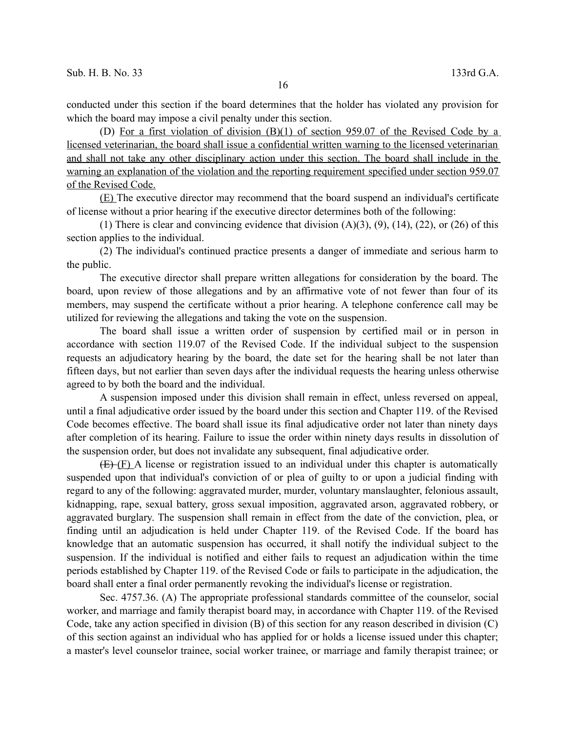conducted under this section if the board determines that the holder has violated any provision for which the board may impose a civil penalty under this section.

(D) For a first violation of division (B)(1) of section 959.07 of the Revised Code by a licensed veterinarian, the board shall issue a confidential written warning to the licensed veterinarian and shall not take any other disciplinary action under this section. The board shall include in the warning an explanation of the violation and the reporting requirement specified under section 959.07 of the Revised Code.

(E) The executive director may recommend that the board suspend an individual's certificate of license without a prior hearing if the executive director determines both of the following:

(1) There is clear and convincing evidence that division  $(A)(3)$ ,  $(9)$ ,  $(14)$ ,  $(22)$ , or  $(26)$  of this section applies to the individual.

(2) The individual's continued practice presents a danger of immediate and serious harm to the public.

The executive director shall prepare written allegations for consideration by the board. The board, upon review of those allegations and by an affirmative vote of not fewer than four of its members, may suspend the certificate without a prior hearing. A telephone conference call may be utilized for reviewing the allegations and taking the vote on the suspension.

The board shall issue a written order of suspension by certified mail or in person in accordance with section 119.07 of the Revised Code. If the individual subject to the suspension requests an adjudicatory hearing by the board, the date set for the hearing shall be not later than fifteen days, but not earlier than seven days after the individual requests the hearing unless otherwise agreed to by both the board and the individual.

A suspension imposed under this division shall remain in effect, unless reversed on appeal, until a final adjudicative order issued by the board under this section and Chapter 119. of the Revised Code becomes effective. The board shall issue its final adjudicative order not later than ninety days after completion of its hearing. Failure to issue the order within ninety days results in dissolution of the suspension order, but does not invalidate any subsequent, final adjudicative order.

 $(E)$  (F) A license or registration issued to an individual under this chapter is automatically suspended upon that individual's conviction of or plea of guilty to or upon a judicial finding with regard to any of the following: aggravated murder, murder, voluntary manslaughter, felonious assault, kidnapping, rape, sexual battery, gross sexual imposition, aggravated arson, aggravated robbery, or aggravated burglary. The suspension shall remain in effect from the date of the conviction, plea, or finding until an adjudication is held under Chapter 119. of the Revised Code. If the board has knowledge that an automatic suspension has occurred, it shall notify the individual subject to the suspension. If the individual is notified and either fails to request an adjudication within the time periods established by Chapter 119. of the Revised Code or fails to participate in the adjudication, the board shall enter a final order permanently revoking the individual's license or registration.

Sec. 4757.36. (A) The appropriate professional standards committee of the counselor, social worker, and marriage and family therapist board may, in accordance with Chapter 119. of the Revised Code, take any action specified in division (B) of this section for any reason described in division (C) of this section against an individual who has applied for or holds a license issued under this chapter; a master's level counselor trainee, social worker trainee, or marriage and family therapist trainee; or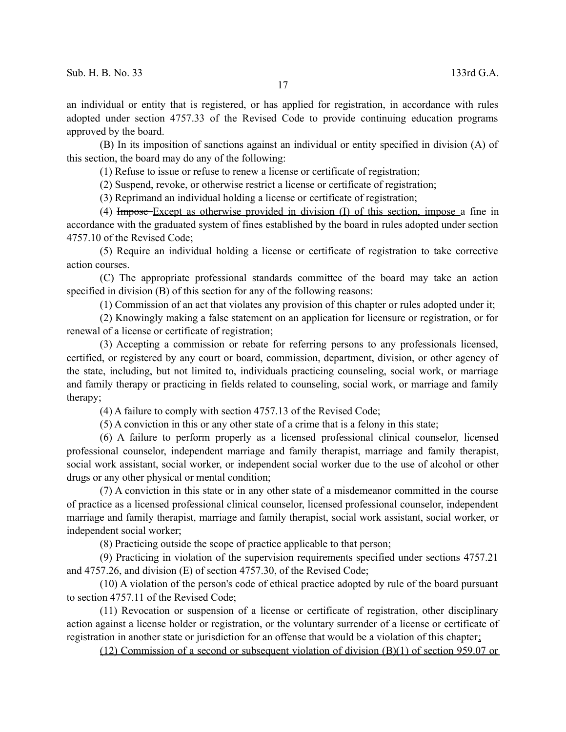an individual or entity that is registered, or has applied for registration, in accordance with rules adopted under section 4757.33 of the Revised Code to provide continuing education programs approved by the board.

(B) In its imposition of sanctions against an individual or entity specified in division (A) of this section, the board may do any of the following:

(1) Refuse to issue or refuse to renew a license or certificate of registration;

(2) Suspend, revoke, or otherwise restrict a license or certificate of registration;

(3) Reprimand an individual holding a license or certificate of registration;

(4) Impose Except as otherwise provided in division (I) of this section, impose a fine in accordance with the graduated system of fines established by the board in rules adopted under section 4757.10 of the Revised Code;

(5) Require an individual holding a license or certificate of registration to take corrective action courses.

(C) The appropriate professional standards committee of the board may take an action specified in division (B) of this section for any of the following reasons:

(1) Commission of an act that violates any provision of this chapter or rules adopted under it;

(2) Knowingly making a false statement on an application for licensure or registration, or for renewal of a license or certificate of registration;

(3) Accepting a commission or rebate for referring persons to any professionals licensed, certified, or registered by any court or board, commission, department, division, or other agency of the state, including, but not limited to, individuals practicing counseling, social work, or marriage and family therapy or practicing in fields related to counseling, social work, or marriage and family therapy;

(4) A failure to comply with section 4757.13 of the Revised Code;

(5) A conviction in this or any other state of a crime that is a felony in this state;

(6) A failure to perform properly as a licensed professional clinical counselor, licensed professional counselor, independent marriage and family therapist, marriage and family therapist, social work assistant, social worker, or independent social worker due to the use of alcohol or other drugs or any other physical or mental condition;

(7) A conviction in this state or in any other state of a misdemeanor committed in the course of practice as a licensed professional clinical counselor, licensed professional counselor, independent marriage and family therapist, marriage and family therapist, social work assistant, social worker, or independent social worker;

(8) Practicing outside the scope of practice applicable to that person;

(9) Practicing in violation of the supervision requirements specified under sections 4757.21 and 4757.26, and division (E) of section 4757.30, of the Revised Code;

(10) A violation of the person's code of ethical practice adopted by rule of the board pursuant to section 4757.11 of the Revised Code;

(11) Revocation or suspension of a license or certificate of registration, other disciplinary action against a license holder or registration, or the voluntary surrender of a license or certificate of registration in another state or jurisdiction for an offense that would be a violation of this chapter;

(12) Commission of a second or subsequent violation of division (B)(1) of section 959.07 or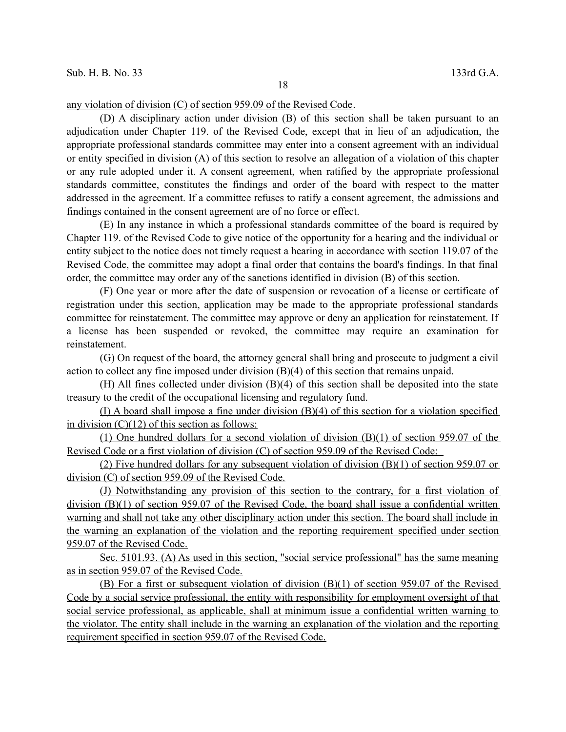## any violation of division (C) of section 959.09 of the Revised Code.

(D) A disciplinary action under division (B) of this section shall be taken pursuant to an adjudication under Chapter 119. of the Revised Code, except that in lieu of an adjudication, the appropriate professional standards committee may enter into a consent agreement with an individual or entity specified in division (A) of this section to resolve an allegation of a violation of this chapter or any rule adopted under it. A consent agreement, when ratified by the appropriate professional standards committee, constitutes the findings and order of the board with respect to the matter addressed in the agreement. If a committee refuses to ratify a consent agreement, the admissions and findings contained in the consent agreement are of no force or effect.

(E) In any instance in which a professional standards committee of the board is required by Chapter 119. of the Revised Code to give notice of the opportunity for a hearing and the individual or entity subject to the notice does not timely request a hearing in accordance with section 119.07 of the Revised Code, the committee may adopt a final order that contains the board's findings. In that final order, the committee may order any of the sanctions identified in division (B) of this section.

(F) One year or more after the date of suspension or revocation of a license or certificate of registration under this section, application may be made to the appropriate professional standards committee for reinstatement. The committee may approve or deny an application for reinstatement. If a license has been suspended or revoked, the committee may require an examination for reinstatement.

(G) On request of the board, the attorney general shall bring and prosecute to judgment a civil action to collect any fine imposed under division (B)(4) of this section that remains unpaid.

(H) All fines collected under division (B)(4) of this section shall be deposited into the state treasury to the credit of the occupational licensing and regulatory fund.

(I) A board shall impose a fine under division (B)(4) of this section for a violation specified in division  $(C)(12)$  of this section as follows:

(1) One hundred dollars for a second violation of division (B)(1) of section 959.07 of the Revised Code or a first violation of division (C) of section 959.09 of the Revised Code;

(2) Five hundred dollars for any subsequent violation of division (B)(1) of section 959.07 or division (C) of section 959.09 of the Revised Code.

(J) Notwithstanding any provision of this section to the contrary, for a first violation of division (B)(1) of section 959.07 of the Revised Code, the board shall issue a confidential written warning and shall not take any other disciplinary action under this section. The board shall include in the warning an explanation of the violation and the reporting requirement specified under section 959.07 of the Revised Code.

Sec. 5101.93. (A) As used in this section, "social service professional" has the same meaning as in section 959.07 of the Revised Code.

(B) For a first or subsequent violation of division (B)(1) of section 959.07 of the Revised Code by a social service professional, the entity with responsibility for employment oversight of that social service professional, as applicable, shall at minimum issue a confidential written warning to the violator. The entity shall include in the warning an explanation of the violation and the reporting requirement specified in section 959.07 of the Revised Code.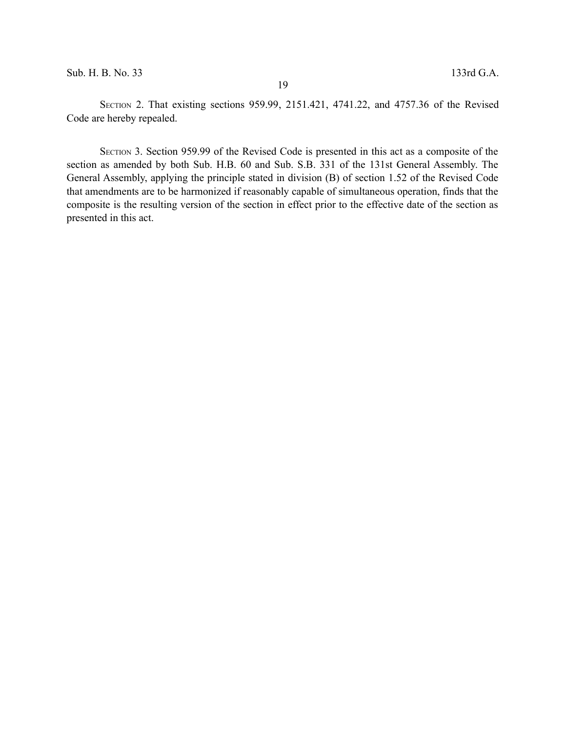Sub. H. B. No. 33 133rd G.A.

SECTION 2. That existing sections 959.99, 2151.421, 4741.22, and 4757.36 of the Revised Code are hereby repealed.

SECTION 3. Section 959.99 of the Revised Code is presented in this act as a composite of the section as amended by both Sub. H.B. 60 and Sub. S.B. 331 of the 131st General Assembly. The General Assembly, applying the principle stated in division (B) of section 1.52 of the Revised Code that amendments are to be harmonized if reasonably capable of simultaneous operation, finds that the composite is the resulting version of the section in effect prior to the effective date of the section as presented in this act.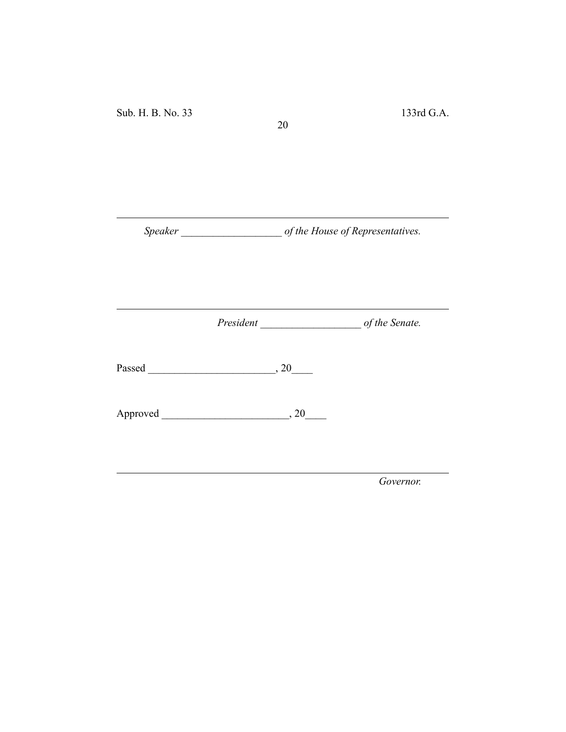Sub. H. B. No. 33 133rd G.A.

*Speaker \_\_\_\_\_\_\_\_\_\_\_\_\_\_\_\_\_\_\_ of the House of Representatives.*

20

*President \_\_\_\_\_\_\_\_\_\_\_\_\_\_\_\_\_\_\_ of the Senate.*

Passed \_\_\_\_\_\_\_\_\_\_\_\_\_\_\_\_\_\_\_\_\_\_\_\_, 20\_\_\_\_

Approved \_\_\_\_\_\_\_\_\_\_\_\_\_\_\_\_\_\_\_\_\_\_\_\_, 20\_\_\_\_

*Governor.*